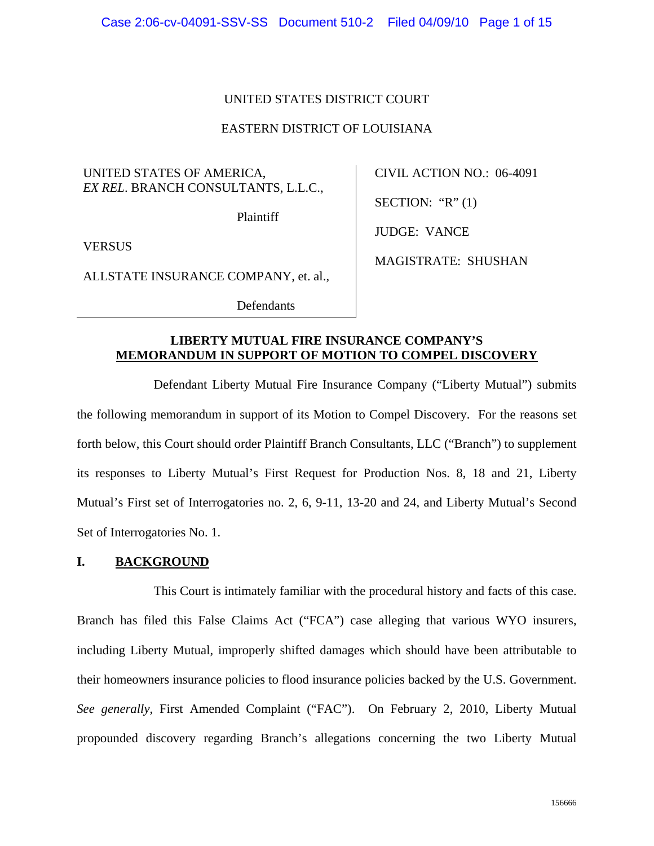## UNITED STATES DISTRICT COURT

## EASTERN DISTRICT OF LOUISIANA

UNITED STATES OF AMERICA, *EX REL*. BRANCH CONSULTANTS, L.L.C.,

Plaintiff

VERSUS

ALLSTATE INSURANCE COMPANY, et. al.,

CIVIL ACTION NO.: 06-4091 SECTION: " $R$ " (1)

JUDGE: VANCE

MAGISTRATE: SHUSHAN

Defendants

## **LIBERTY MUTUAL FIRE INSURANCE COMPANY'S MEMORANDUM IN SUPPORT OF MOTION TO COMPEL DISCOVERY**

Defendant Liberty Mutual Fire Insurance Company ("Liberty Mutual") submits the following memorandum in support of its Motion to Compel Discovery. For the reasons set forth below, this Court should order Plaintiff Branch Consultants, LLC ("Branch") to supplement its responses to Liberty Mutual's First Request for Production Nos. 8, 18 and 21, Liberty Mutual's First set of Interrogatories no. 2, 6, 9-11, 13-20 and 24, and Liberty Mutual's Second Set of Interrogatories No. 1.

# **I. BACKGROUND**

 This Court is intimately familiar with the procedural history and facts of this case. Branch has filed this False Claims Act ("FCA") case alleging that various WYO insurers, including Liberty Mutual, improperly shifted damages which should have been attributable to their homeowners insurance policies to flood insurance policies backed by the U.S. Government. *See generally*, First Amended Complaint ("FAC"). On February 2, 2010, Liberty Mutual propounded discovery regarding Branch's allegations concerning the two Liberty Mutual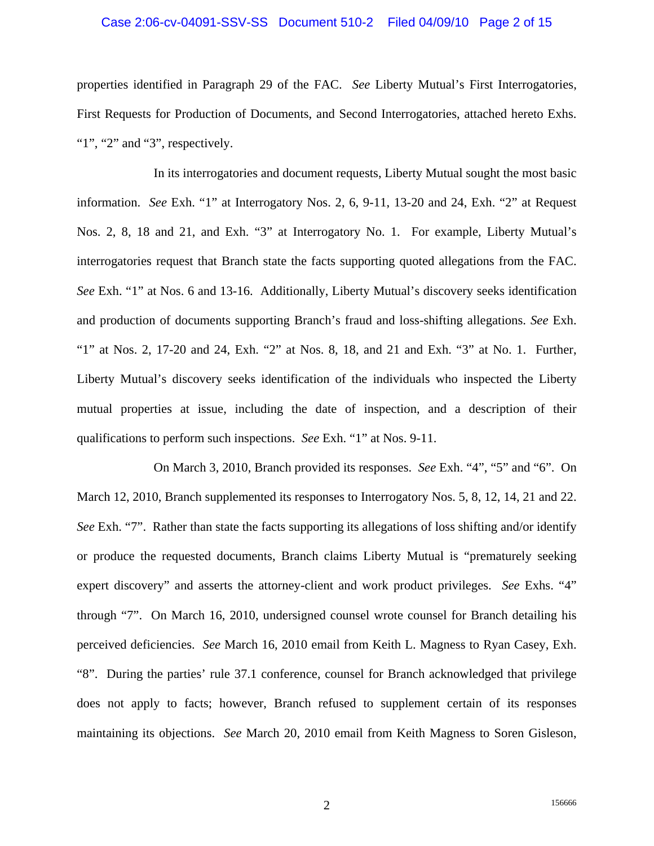#### Case 2:06-cv-04091-SSV-SS Document 510-2 Filed 04/09/10 Page 2 of 15

properties identified in Paragraph 29 of the FAC. *See* Liberty Mutual's First Interrogatories, First Requests for Production of Documents, and Second Interrogatories, attached hereto Exhs. "1", "2" and "3", respectively.

 In its interrogatories and document requests, Liberty Mutual sought the most basic information. *See* Exh. "1" at Interrogatory Nos. 2, 6, 9-11, 13-20 and 24, Exh. "2" at Request Nos. 2, 8, 18 and 21, and Exh. "3" at Interrogatory No. 1. For example, Liberty Mutual's interrogatories request that Branch state the facts supporting quoted allegations from the FAC. *See* Exh. "1" at Nos. 6 and 13-16. Additionally, Liberty Mutual's discovery seeks identification and production of documents supporting Branch's fraud and loss-shifting allegations. *See* Exh. "1" at Nos. 2, 17-20 and 24, Exh. "2" at Nos. 8, 18, and 21 and Exh. "3" at No. 1. Further, Liberty Mutual's discovery seeks identification of the individuals who inspected the Liberty mutual properties at issue, including the date of inspection, and a description of their qualifications to perform such inspections. *See* Exh. "1" at Nos. 9-11.

 On March 3, 2010, Branch provided its responses. *See* Exh. "4", "5" and "6". On March 12, 2010, Branch supplemented its responses to Interrogatory Nos. 5, 8, 12, 14, 21 and 22. *See* Exh. "7". Rather than state the facts supporting its allegations of loss shifting and/or identify or produce the requested documents, Branch claims Liberty Mutual is "prematurely seeking expert discovery" and asserts the attorney-client and work product privileges. *See* Exhs. "4" through "7". On March 16, 2010, undersigned counsel wrote counsel for Branch detailing his perceived deficiencies. *See* March 16, 2010 email from Keith L. Magness to Ryan Casey, Exh. "8". During the parties' rule 37.1 conference, counsel for Branch acknowledged that privilege does not apply to facts; however, Branch refused to supplement certain of its responses maintaining its objections. *See* March 20, 2010 email from Keith Magness to Soren Gisleson,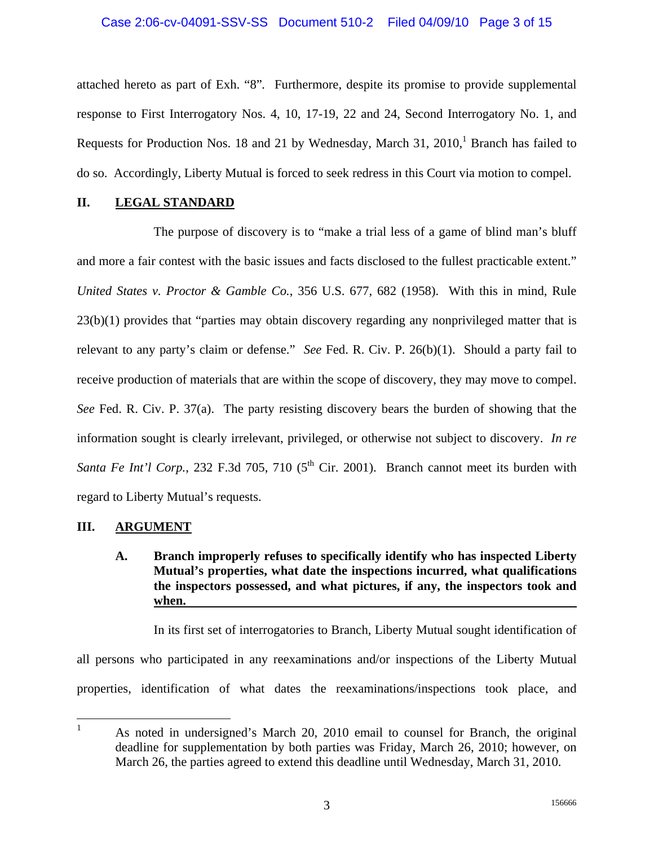### Case 2:06-cv-04091-SSV-SS Document 510-2 Filed 04/09/10 Page 3 of 15

attached hereto as part of Exh. "8"*.* Furthermore, despite its promise to provide supplemental response to First Interrogatory Nos. 4, 10, 17-19, 22 and 24, Second Interrogatory No. 1, and Requests for Production Nos. 18 and 21 by Wednesday, March 31,  $2010<sup>1</sup>$  Branch has failed to do so. Accordingly, Liberty Mutual is forced to seek redress in this Court via motion to compel.

# **II. LEGAL STANDARD**

The purpose of discovery is to "make a trial less of a game of blind man's bluff and more a fair contest with the basic issues and facts disclosed to the fullest practicable extent." *United States v. Proctor & Gamble Co.*, 356 U.S. 677, 682 (1958). With this in mind, Rule 23(b)(1) provides that "parties may obtain discovery regarding any nonprivileged matter that is relevant to any party's claim or defense." *See* Fed. R. Civ. P. 26(b)(1). Should a party fail to receive production of materials that are within the scope of discovery, they may move to compel. *See* Fed. R. Civ. P. 37(a). The party resisting discovery bears the burden of showing that the information sought is clearly irrelevant, privileged, or otherwise not subject to discovery. *In re Santa Fe Int'l Corp.*, 232 F.3d 705, 710 ( $5<sup>th</sup>$  Cir. 2001). Branch cannot meet its burden with regard to Liberty Mutual's requests.

# **III. ARGUMENT**

 **A. Branch improperly refuses to specifically identify who has inspected Liberty Mutual's properties, what date the inspections incurred, what qualifications the inspectors possessed, and what pictures, if any, the inspectors took and when.** 

In its first set of interrogatories to Branch, Liberty Mutual sought identification of all persons who participated in any reexaminations and/or inspections of the Liberty Mutual properties, identification of what dates the reexaminations/inspections took place, and

 $\frac{1}{1}$  As noted in undersigned's March 20, 2010 email to counsel for Branch, the original deadline for supplementation by both parties was Friday, March 26, 2010; however, on March 26, the parties agreed to extend this deadline until Wednesday, March 31, 2010.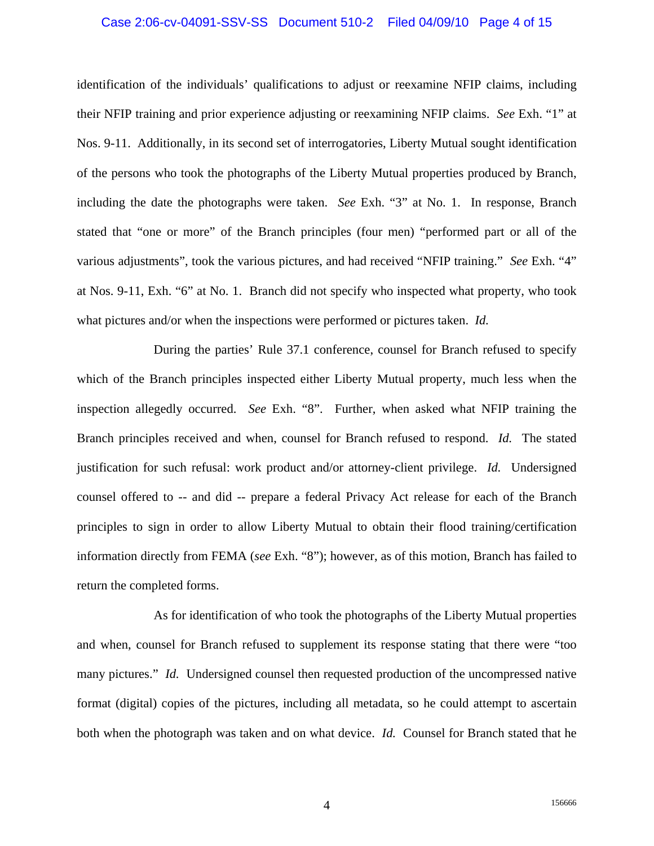#### Case 2:06-cv-04091-SSV-SS Document 510-2 Filed 04/09/10 Page 4 of 15

identification of the individuals' qualifications to adjust or reexamine NFIP claims, including their NFIP training and prior experience adjusting or reexamining NFIP claims. *See* Exh. "1" at Nos. 9-11. Additionally, in its second set of interrogatories, Liberty Mutual sought identification of the persons who took the photographs of the Liberty Mutual properties produced by Branch, including the date the photographs were taken. *See* Exh. "3" at No. 1. In response, Branch stated that "one or more" of the Branch principles (four men) "performed part or all of the various adjustments", took the various pictures, and had received "NFIP training." *See* Exh. "4" at Nos. 9-11, Exh. "6" at No. 1. Branch did not specify who inspected what property, who took what pictures and/or when the inspections were performed or pictures taken. *Id.* 

 During the parties' Rule 37.1 conference, counsel for Branch refused to specify which of the Branch principles inspected either Liberty Mutual property, much less when the inspection allegedly occurred. *See* Exh. "8". Further, when asked what NFIP training the Branch principles received and when, counsel for Branch refused to respond. *Id.* The stated justification for such refusal: work product and/or attorney-client privilege. *Id.* Undersigned counsel offered to -- and did -- prepare a federal Privacy Act release for each of the Branch principles to sign in order to allow Liberty Mutual to obtain their flood training/certification information directly from FEMA (*see* Exh. "8"); however, as of this motion, Branch has failed to return the completed forms.

 As for identification of who took the photographs of the Liberty Mutual properties and when, counsel for Branch refused to supplement its response stating that there were "too many pictures." *Id.* Undersigned counsel then requested production of the uncompressed native format (digital) copies of the pictures, including all metadata, so he could attempt to ascertain both when the photograph was taken and on what device. *Id.* Counsel for Branch stated that he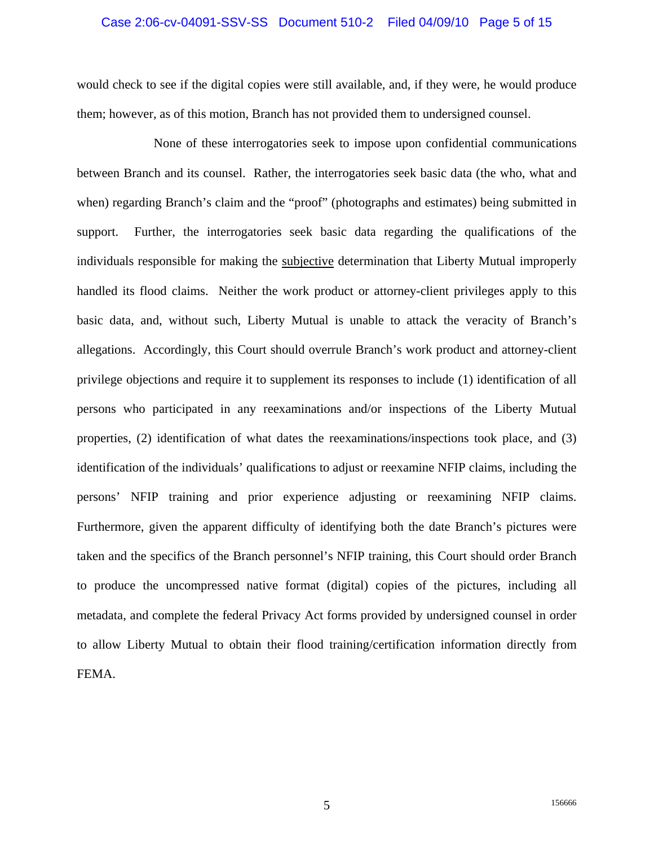#### Case 2:06-cv-04091-SSV-SS Document 510-2 Filed 04/09/10 Page 5 of 15

would check to see if the digital copies were still available, and, if they were, he would produce them; however, as of this motion, Branch has not provided them to undersigned counsel.

 None of these interrogatories seek to impose upon confidential communications between Branch and its counsel. Rather, the interrogatories seek basic data (the who, what and when) regarding Branch's claim and the "proof" (photographs and estimates) being submitted in support. Further, the interrogatories seek basic data regarding the qualifications of the individuals responsible for making the subjective determination that Liberty Mutual improperly handled its flood claims. Neither the work product or attorney-client privileges apply to this basic data, and, without such, Liberty Mutual is unable to attack the veracity of Branch's allegations. Accordingly, this Court should overrule Branch's work product and attorney-client privilege objections and require it to supplement its responses to include (1) identification of all persons who participated in any reexaminations and/or inspections of the Liberty Mutual properties, (2) identification of what dates the reexaminations/inspections took place, and (3) identification of the individuals' qualifications to adjust or reexamine NFIP claims, including the persons' NFIP training and prior experience adjusting or reexamining NFIP claims. Furthermore, given the apparent difficulty of identifying both the date Branch's pictures were taken and the specifics of the Branch personnel's NFIP training, this Court should order Branch to produce the uncompressed native format (digital) copies of the pictures, including all metadata, and complete the federal Privacy Act forms provided by undersigned counsel in order to allow Liberty Mutual to obtain their flood training/certification information directly from FEMA.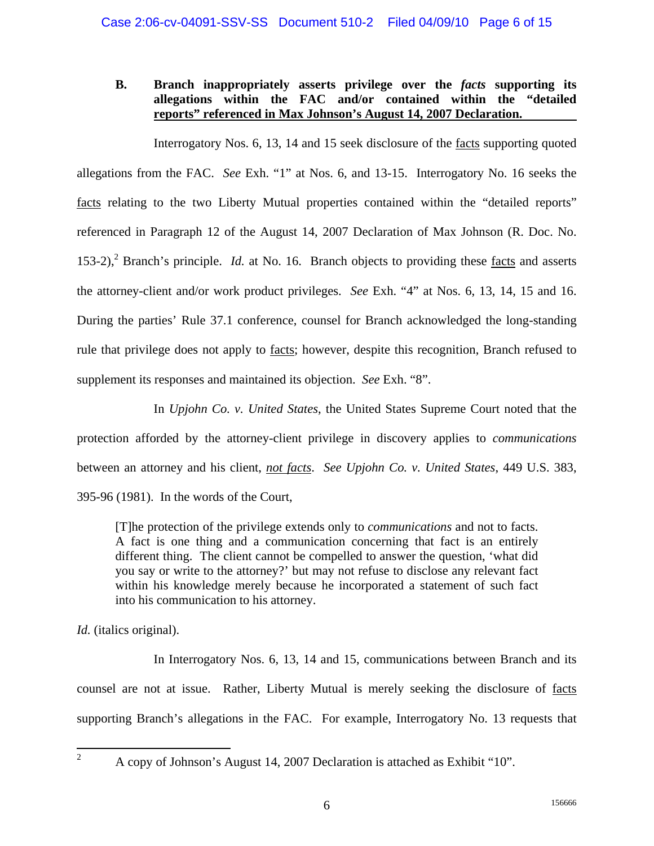# **B. Branch inappropriately asserts privilege over the** *facts* **supporting its allegations within the FAC and/or contained within the "detailed reports" referenced in Max Johnson's August 14, 2007 Declaration.**

 Interrogatory Nos. 6, 13, 14 and 15 seek disclosure of the facts supporting quoted allegations from the FAC. *See* Exh. "1" at Nos. 6, and 13-15. Interrogatory No. 16 seeks the facts relating to the two Liberty Mutual properties contained within the "detailed reports" referenced in Paragraph 12 of the August 14, 2007 Declaration of Max Johnson (R. Doc. No. 153-2),<sup>2</sup> Branch's principle. *Id.* at No. 16. Branch objects to providing these <u>facts</u> and asserts the attorney-client and/or work product privileges. *See* Exh. "4" at Nos. 6, 13, 14, 15 and 16. During the parties' Rule 37.1 conference, counsel for Branch acknowledged the long-standing rule that privilege does not apply to facts; however, despite this recognition, Branch refused to supplement its responses and maintained its objection. *See* Exh. "8".

 In *Upjohn Co. v. United States*, the United States Supreme Court noted that the protection afforded by the attorney-client privilege in discovery applies to *communications* between an attorney and his client, *not facts*. *See Upjohn Co. v. United States*, 449 U.S. 383, 395-96 (1981). In the words of the Court,

[T]he protection of the privilege extends only to *communications* and not to facts. A fact is one thing and a communication concerning that fact is an entirely different thing. The client cannot be compelled to answer the question, 'what did you say or write to the attorney?' but may not refuse to disclose any relevant fact within his knowledge merely because he incorporated a statement of such fact into his communication to his attorney.

*Id.* (italics original).

In Interrogatory Nos. 6, 13, 14 and 15, communications between Branch and its counsel are not at issue. Rather, Liberty Mutual is merely seeking the disclosure of facts supporting Branch's allegations in the FAC. For example, Interrogatory No. 13 requests that

 $\frac{1}{2}$ 

A copy of Johnson's August 14, 2007 Declaration is attached as Exhibit "10".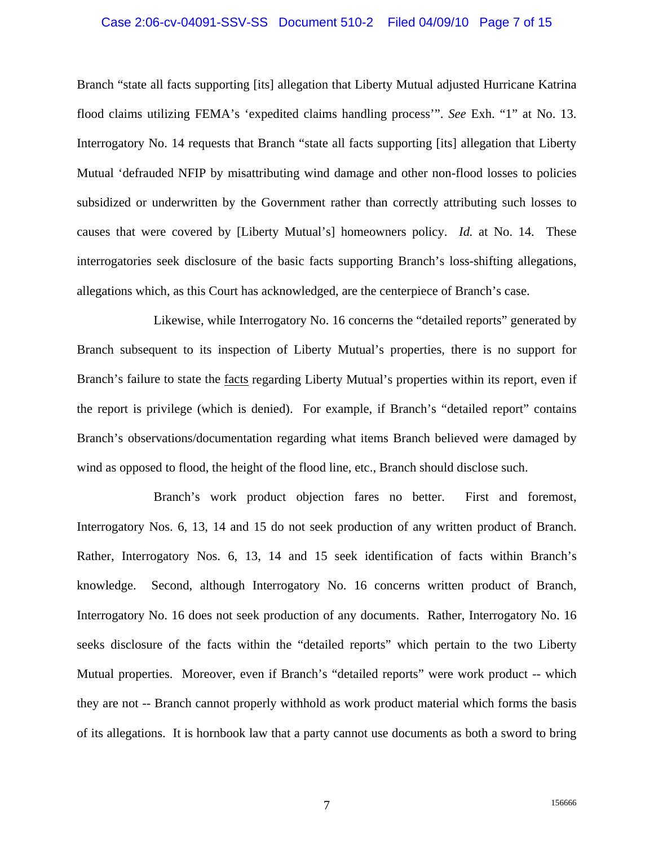#### Case 2:06-cv-04091-SSV-SS Document 510-2 Filed 04/09/10 Page 7 of 15

Branch "state all facts supporting [its] allegation that Liberty Mutual adjusted Hurricane Katrina flood claims utilizing FEMA's 'expedited claims handling process'". *See* Exh. "1" at No. 13. Interrogatory No. 14 requests that Branch "state all facts supporting [its] allegation that Liberty Mutual 'defrauded NFIP by misattributing wind damage and other non-flood losses to policies subsidized or underwritten by the Government rather than correctly attributing such losses to causes that were covered by [Liberty Mutual's] homeowners policy. *Id.* at No. 14. These interrogatories seek disclosure of the basic facts supporting Branch's loss-shifting allegations, allegations which, as this Court has acknowledged, are the centerpiece of Branch's case.

 Likewise, while Interrogatory No. 16 concerns the "detailed reports" generated by Branch subsequent to its inspection of Liberty Mutual's properties, there is no support for Branch's failure to state the facts regarding Liberty Mutual's properties within its report, even if the report is privilege (which is denied). For example, if Branch's "detailed report" contains Branch's observations/documentation regarding what items Branch believed were damaged by wind as opposed to flood, the height of the flood line, etc., Branch should disclose such.

 Branch's work product objection fares no better. First and foremost, Interrogatory Nos. 6, 13, 14 and 15 do not seek production of any written product of Branch. Rather, Interrogatory Nos. 6, 13, 14 and 15 seek identification of facts within Branch's knowledge. Second, although Interrogatory No. 16 concerns written product of Branch, Interrogatory No. 16 does not seek production of any documents. Rather, Interrogatory No. 16 seeks disclosure of the facts within the "detailed reports" which pertain to the two Liberty Mutual properties. Moreover, even if Branch's "detailed reports" were work product -- which they are not -- Branch cannot properly withhold as work product material which forms the basis of its allegations. It is hornbook law that a party cannot use documents as both a sword to bring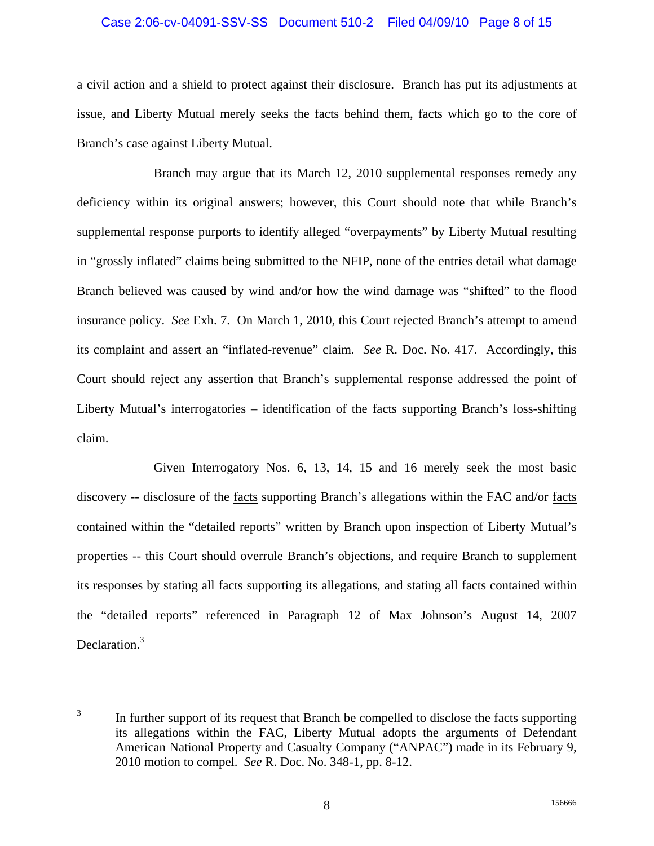#### Case 2:06-cv-04091-SSV-SS Document 510-2 Filed 04/09/10 Page 8 of 15

a civil action and a shield to protect against their disclosure. Branch has put its adjustments at issue, and Liberty Mutual merely seeks the facts behind them, facts which go to the core of Branch's case against Liberty Mutual.

 Branch may argue that its March 12, 2010 supplemental responses remedy any deficiency within its original answers; however, this Court should note that while Branch's supplemental response purports to identify alleged "overpayments" by Liberty Mutual resulting in "grossly inflated" claims being submitted to the NFIP, none of the entries detail what damage Branch believed was caused by wind and/or how the wind damage was "shifted" to the flood insurance policy. *See* Exh. 7. On March 1, 2010, this Court rejected Branch's attempt to amend its complaint and assert an "inflated-revenue" claim. *See* R. Doc. No. 417. Accordingly, this Court should reject any assertion that Branch's supplemental response addressed the point of Liberty Mutual's interrogatories – identification of the facts supporting Branch's loss-shifting claim.

 Given Interrogatory Nos. 6, 13, 14, 15 and 16 merely seek the most basic discovery -- disclosure of the <u>facts</u> supporting Branch's allegations within the FAC and/or <u>facts</u> contained within the "detailed reports" written by Branch upon inspection of Liberty Mutual's properties -- this Court should overrule Branch's objections, and require Branch to supplement its responses by stating all facts supporting its allegations, and stating all facts contained within the "detailed reports" referenced in Paragraph 12 of Max Johnson's August 14, 2007 Declaration.<sup>3</sup>

 $\frac{1}{3}$  In further support of its request that Branch be compelled to disclose the facts supporting its allegations within the FAC, Liberty Mutual adopts the arguments of Defendant American National Property and Casualty Company ("ANPAC") made in its February 9, 2010 motion to compel. *See* R. Doc. No. 348-1, pp. 8-12.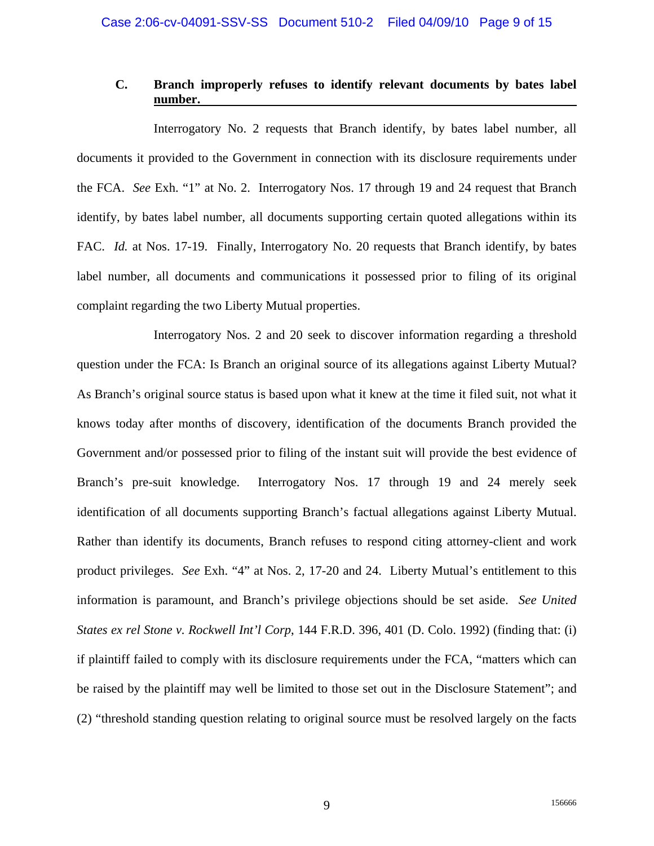## **C. Branch improperly refuses to identify relevant documents by bates label number.**

 Interrogatory No. 2 requests that Branch identify, by bates label number, all documents it provided to the Government in connection with its disclosure requirements under the FCA. *See* Exh. "1" at No. 2. Interrogatory Nos. 17 through 19 and 24 request that Branch identify, by bates label number, all documents supporting certain quoted allegations within its FAC. *Id.* at Nos. 17-19. Finally, Interrogatory No. 20 requests that Branch identify, by bates label number, all documents and communications it possessed prior to filing of its original complaint regarding the two Liberty Mutual properties.

 Interrogatory Nos. 2 and 20 seek to discover information regarding a threshold question under the FCA: Is Branch an original source of its allegations against Liberty Mutual? As Branch's original source status is based upon what it knew at the time it filed suit, not what it knows today after months of discovery, identification of the documents Branch provided the Government and/or possessed prior to filing of the instant suit will provide the best evidence of Branch's pre-suit knowledge. Interrogatory Nos. 17 through 19 and 24 merely seek identification of all documents supporting Branch's factual allegations against Liberty Mutual. Rather than identify its documents, Branch refuses to respond citing attorney-client and work product privileges. *See* Exh. "4" at Nos. 2, 17-20 and 24. Liberty Mutual's entitlement to this information is paramount, and Branch's privilege objections should be set aside. *See United States ex rel Stone v. Rockwell Int'l Corp*, 144 F.R.D. 396, 401 (D. Colo. 1992) (finding that: (i) if plaintiff failed to comply with its disclosure requirements under the FCA, "matters which can be raised by the plaintiff may well be limited to those set out in the Disclosure Statement"; and (2) "threshold standing question relating to original source must be resolved largely on the facts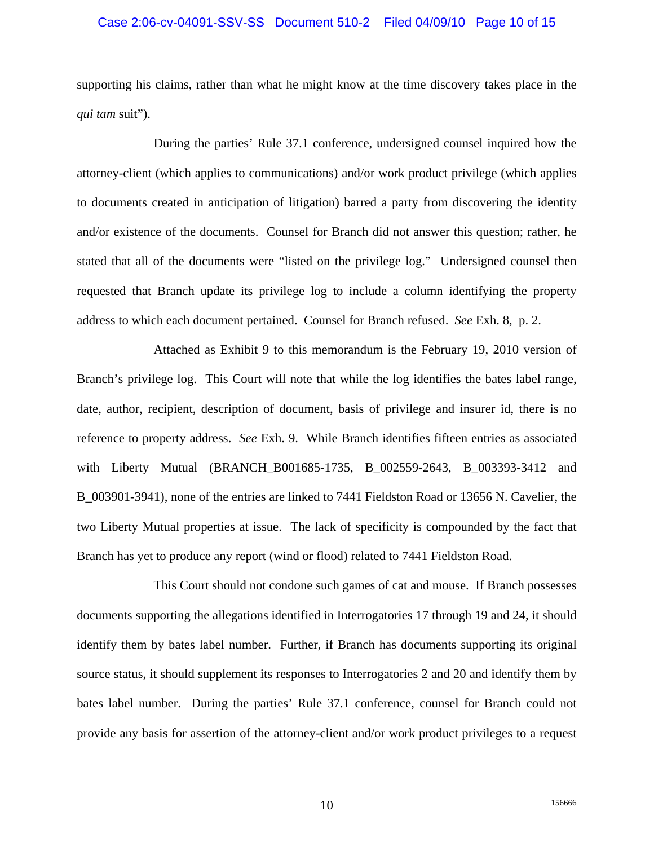## Case 2:06-cv-04091-SSV-SS Document 510-2 Filed 04/09/10 Page 10 of 15

supporting his claims, rather than what he might know at the time discovery takes place in the *qui tam* suit").

 During the parties' Rule 37.1 conference, undersigned counsel inquired how the attorney-client (which applies to communications) and/or work product privilege (which applies to documents created in anticipation of litigation) barred a party from discovering the identity and/or existence of the documents. Counsel for Branch did not answer this question; rather, he stated that all of the documents were "listed on the privilege log." Undersigned counsel then requested that Branch update its privilege log to include a column identifying the property address to which each document pertained. Counsel for Branch refused. *See* Exh. 8, p. 2.

 Attached as Exhibit 9 to this memorandum is the February 19, 2010 version of Branch's privilege log. This Court will note that while the log identifies the bates label range, date, author, recipient, description of document, basis of privilege and insurer id, there is no reference to property address. *See* Exh. 9. While Branch identifies fifteen entries as associated with Liberty Mutual (BRANCH\_B001685-1735, B\_002559-2643, B\_003393-3412 and B\_003901-3941), none of the entries are linked to 7441 Fieldston Road or 13656 N. Cavelier, the two Liberty Mutual properties at issue. The lack of specificity is compounded by the fact that Branch has yet to produce any report (wind or flood) related to 7441 Fieldston Road.

 This Court should not condone such games of cat and mouse. If Branch possesses documents supporting the allegations identified in Interrogatories 17 through 19 and 24, it should identify them by bates label number. Further, if Branch has documents supporting its original source status, it should supplement its responses to Interrogatories 2 and 20 and identify them by bates label number. During the parties' Rule 37.1 conference, counsel for Branch could not provide any basis for assertion of the attorney-client and/or work product privileges to a request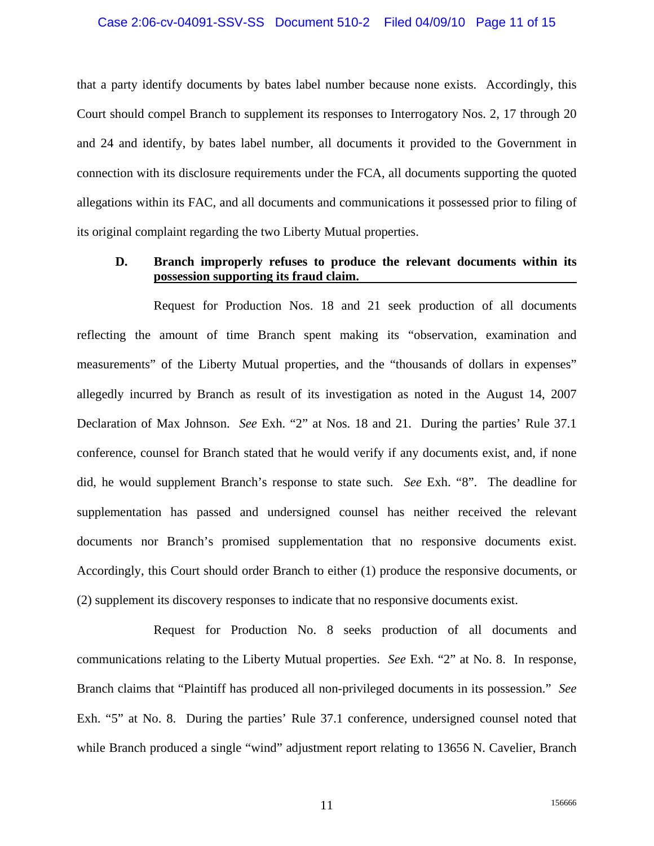#### Case 2:06-cv-04091-SSV-SS Document 510-2 Filed 04/09/10 Page 11 of 15

that a party identify documents by bates label number because none exists. Accordingly, this Court should compel Branch to supplement its responses to Interrogatory Nos. 2, 17 through 20 and 24 and identify, by bates label number, all documents it provided to the Government in connection with its disclosure requirements under the FCA, all documents supporting the quoted allegations within its FAC, and all documents and communications it possessed prior to filing of its original complaint regarding the two Liberty Mutual properties.

### **D. Branch improperly refuses to produce the relevant documents within its possession supporting its fraud claim.**

Request for Production Nos. 18 and 21 seek production of all documents reflecting the amount of time Branch spent making its "observation, examination and measurements" of the Liberty Mutual properties, and the "thousands of dollars in expenses" allegedly incurred by Branch as result of its investigation as noted in the August 14, 2007 Declaration of Max Johnson. *See* Exh. "2" at Nos. 18 and 21. During the parties' Rule 37.1 conference, counsel for Branch stated that he would verify if any documents exist, and, if none did, he would supplement Branch's response to state such. *See* Exh. "8". The deadline for supplementation has passed and undersigned counsel has neither received the relevant documents nor Branch's promised supplementation that no responsive documents exist. Accordingly, this Court should order Branch to either (1) produce the responsive documents, or (2) supplement its discovery responses to indicate that no responsive documents exist.

 Request for Production No. 8 seeks production of all documents and communications relating to the Liberty Mutual properties. *See* Exh. "2" at No. 8. In response, Branch claims that "Plaintiff has produced all non-privileged documents in its possession." *See*  Exh. "5" at No. 8. During the parties' Rule 37.1 conference, undersigned counsel noted that while Branch produced a single "wind" adjustment report relating to 13656 N. Cavelier, Branch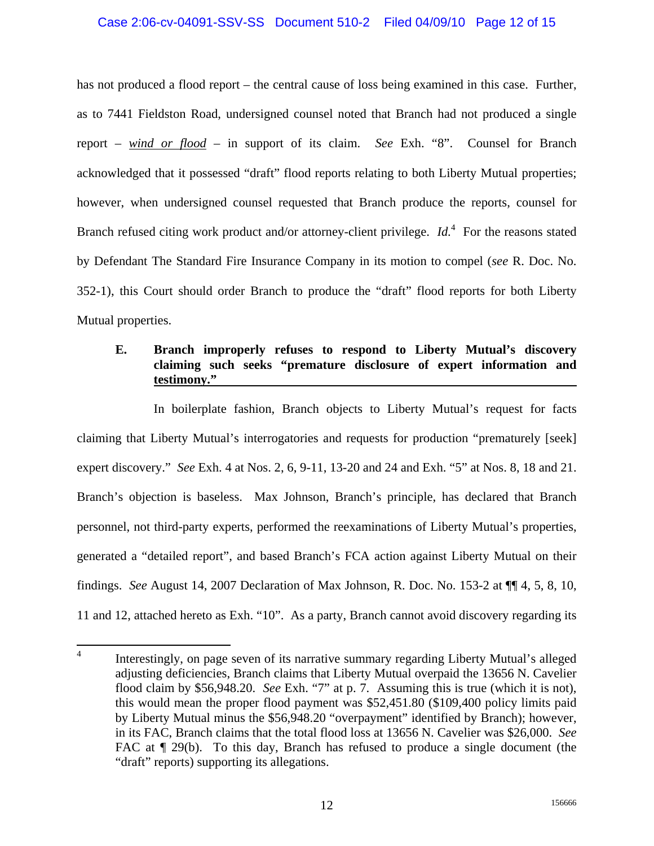### Case 2:06-cv-04091-SSV-SS Document 510-2 Filed 04/09/10 Page 12 of 15

has not produced a flood report – the central cause of loss being examined in this case. Further, as to 7441 Fieldston Road, undersigned counsel noted that Branch had not produced a single report – *wind or flood* – in support of its claim. *See* Exh. "8". Counsel for Branch acknowledged that it possessed "draft" flood reports relating to both Liberty Mutual properties; however, when undersigned counsel requested that Branch produce the reports, counsel for Branch refused citing work product and/or attorney-client privilege. *Id*.<sup>4</sup> For the reasons stated by Defendant The Standard Fire Insurance Company in its motion to compel (*see* R. Doc. No. 352-1), this Court should order Branch to produce the "draft" flood reports for both Liberty Mutual properties.

### **E. Branch improperly refuses to respond to Liberty Mutual's discovery claiming such seeks "premature disclosure of expert information and testimony."**

 In boilerplate fashion, Branch objects to Liberty Mutual's request for facts claiming that Liberty Mutual's interrogatories and requests for production "prematurely [seek] expert discovery." *See* Exh. 4 at Nos. 2, 6, 9-11, 13-20 and 24 and Exh. "5" at Nos. 8, 18 and 21. Branch's objection is baseless. Max Johnson, Branch's principle, has declared that Branch personnel, not third-party experts, performed the reexaminations of Liberty Mutual's properties, generated a "detailed report", and based Branch's FCA action against Liberty Mutual on their findings. *See* August 14, 2007 Declaration of Max Johnson, R. Doc. No. 153-2 at ¶¶ 4, 5, 8, 10, 11 and 12, attached hereto as Exh. "10". As a party, Branch cannot avoid discovery regarding its

 $\frac{1}{4}$  Interestingly, on page seven of its narrative summary regarding Liberty Mutual's alleged adjusting deficiencies, Branch claims that Liberty Mutual overpaid the 13656 N. Cavelier flood claim by \$56,948.20. *See* Exh. "7" at p. 7. Assuming this is true (which it is not), this would mean the proper flood payment was \$52,451.80 (\$109,400 policy limits paid by Liberty Mutual minus the \$56,948.20 "overpayment" identified by Branch); however, in its FAC, Branch claims that the total flood loss at 13656 N. Cavelier was \$26,000. *See*  FAC at  $\P$  29(b). To this day, Branch has refused to produce a single document (the "draft" reports) supporting its allegations.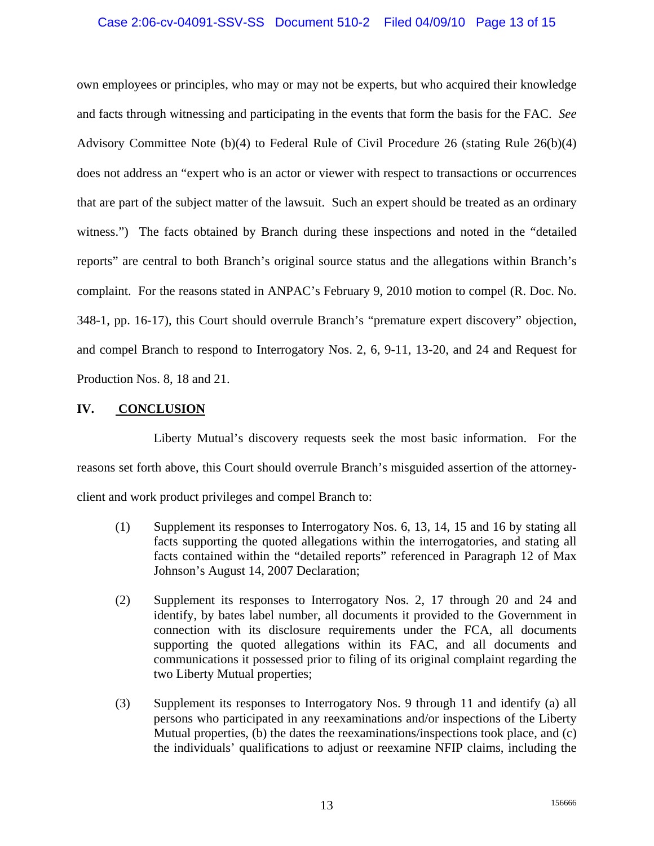## Case 2:06-cv-04091-SSV-SS Document 510-2 Filed 04/09/10 Page 13 of 15

own employees or principles, who may or may not be experts, but who acquired their knowledge and facts through witnessing and participating in the events that form the basis for the FAC. *See*  Advisory Committee Note (b)(4) to Federal Rule of Civil Procedure 26 (stating Rule 26(b)(4) does not address an "expert who is an actor or viewer with respect to transactions or occurrences that are part of the subject matter of the lawsuit. Such an expert should be treated as an ordinary witness.") The facts obtained by Branch during these inspections and noted in the "detailed reports" are central to both Branch's original source status and the allegations within Branch's complaint. For the reasons stated in ANPAC's February 9, 2010 motion to compel (R. Doc. No. 348-1, pp. 16-17), this Court should overrule Branch's "premature expert discovery" objection, and compel Branch to respond to Interrogatory Nos. 2, 6, 9-11, 13-20, and 24 and Request for Production Nos. 8, 18 and 21.

### **IV. CONCLUSION**

 Liberty Mutual's discovery requests seek the most basic information. For the reasons set forth above, this Court should overrule Branch's misguided assertion of the attorneyclient and work product privileges and compel Branch to:

- (1) Supplement its responses to Interrogatory Nos. 6, 13, 14, 15 and 16 by stating all facts supporting the quoted allegations within the interrogatories, and stating all facts contained within the "detailed reports" referenced in Paragraph 12 of Max Johnson's August 14, 2007 Declaration;
- (2) Supplement its responses to Interrogatory Nos. 2, 17 through 20 and 24 and identify, by bates label number, all documents it provided to the Government in connection with its disclosure requirements under the FCA, all documents supporting the quoted allegations within its FAC, and all documents and communications it possessed prior to filing of its original complaint regarding the two Liberty Mutual properties;
- (3) Supplement its responses to Interrogatory Nos. 9 through 11 and identify (a) all persons who participated in any reexaminations and/or inspections of the Liberty Mutual properties, (b) the dates the reexaminations/inspections took place, and (c) the individuals' qualifications to adjust or reexamine NFIP claims, including the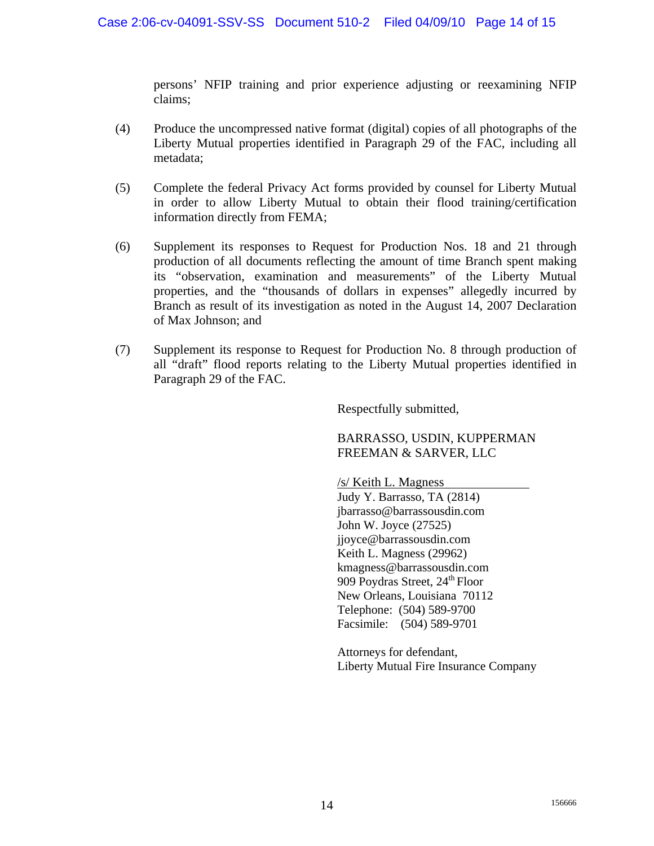persons' NFIP training and prior experience adjusting or reexamining NFIP claims;

- (4) Produce the uncompressed native format (digital) copies of all photographs of the Liberty Mutual properties identified in Paragraph 29 of the FAC, including all metadata;
- (5) Complete the federal Privacy Act forms provided by counsel for Liberty Mutual in order to allow Liberty Mutual to obtain their flood training/certification information directly from FEMA;
- (6) Supplement its responses to Request for Production Nos. 18 and 21 through production of all documents reflecting the amount of time Branch spent making its "observation, examination and measurements" of the Liberty Mutual properties, and the "thousands of dollars in expenses" allegedly incurred by Branch as result of its investigation as noted in the August 14, 2007 Declaration of Max Johnson; and
- (7) Supplement its response to Request for Production No. 8 through production of all "draft" flood reports relating to the Liberty Mutual properties identified in Paragraph 29 of the FAC.

Respectfully submitted,

BARRASSO, USDIN, KUPPERMAN FREEMAN & SARVER, LLC

/s/ Keith L. Magness Judy Y. Barrasso, TA (2814) jbarrasso@barrassousdin.com John W. Joyce (27525) jjoyce@barrassousdin.com Keith L. Magness (29962) kmagness@barrassousdin.com 909 Poydras Street, 24<sup>th</sup> Floor New Orleans, Louisiana 70112 Telephone: (504) 589-9700 Facsimile: (504) 589-9701

Attorneys for defendant, Liberty Mutual Fire Insurance Company